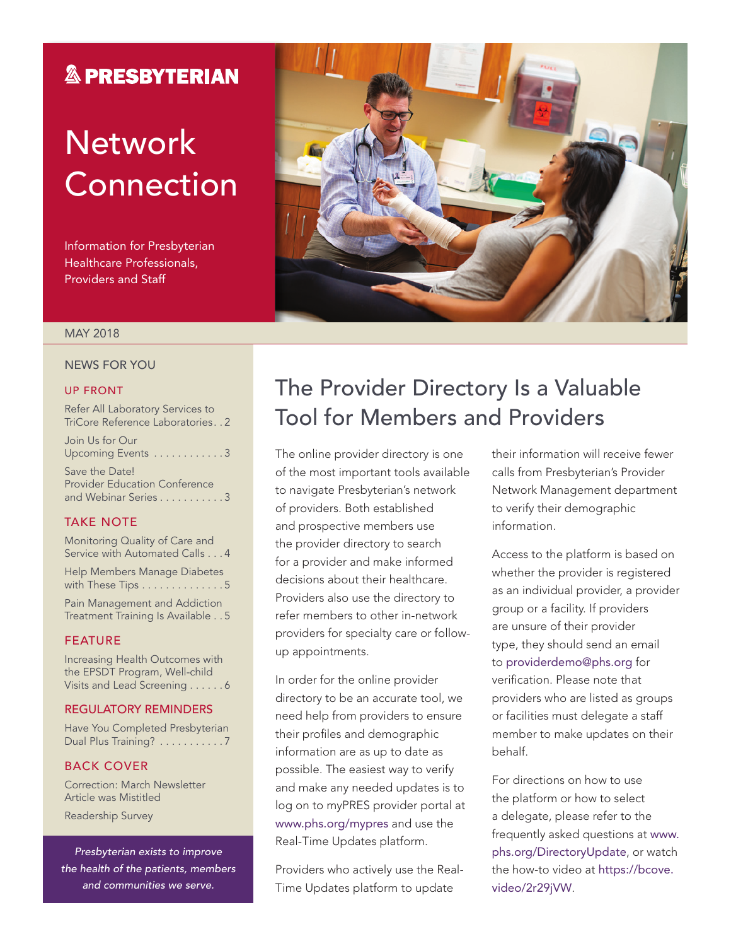## **& PRESBYTERIAN**

# **Network** Connection

Information for Presbyterian Healthcare Professionals, Providers and Staff



### MAY 2018

### NEWS FOR YOU

#### UP FRONT

Refer All Laboratory Services to TriCore Reference Laboratories . 2

Join Us for Our Upcoming Events . . . . . . . . . . . . 3

Save the Date! Provider Education Conference and Webinar Series . . . . . . . . . . . 3

### TAKE NOTE

Monitoring Quality of Care and Service with Automated Calls . . . 4 Help Members Manage Diabetes with These Tips . . . . . . . . . . . . . 5 Pain Management and Addiction Treatment Training Is Available . . 5

#### FEATURE

Increasing Health Outcomes with the EPSDT Program, Well-child Visits and Lead Screening . . . . . . 6

### REGULATORY REMINDERS

Have You Completed Presbyterian Dual Plus Training? . . . . . . . . . . 7

#### BACK COVER

Correction: March Newsletter Article was Mistitled

Readership Survey

*Presbyterian exists to improve the health of the patients, members and communities we serve.*

## The Provider Directory Is a Valuable Tool for Members and Providers

The online provider directory is one of the most important tools available to navigate Presbyterian's network of providers. Both established and prospective members use the provider directory to search for a provider and make informed decisions about their healthcare. Providers also use the directory to refer members to other in-network providers for specialty care or followup appointments.

In order for the online provider directory to be an accurate tool, we need help from providers to ensure their profiles and demographic information are as up to date as possible. The easiest way to verify and make any needed updates is to log on to myPRES provider portal at [www.phs.org/mypres](http://www.phs.org/mypres) and use the Real-Time Updates platform.

Providers who actively use the Real-Time Updates platform to update

their information will receive fewer calls from Presbyterian's Provider Network Management department to verify their demographic information.

Access to the platform is based on whether the provider is registered as an individual provider, a provider group or a facility. If providers are unsure of their provider type, they should send an email to [providerdemo@phs.org](mailto:providerdemo@phs.org) for verification. Please note that providers who are listed as groups or facilities must delegate a staff member to make updates on their behalf.

For directions on how to use the platform or how to select a delegate, please refer to the frequently asked questions at [www.](http://www.phs.org/DirectoryUpdate,) [phs.org/DirectoryUpdate](http://www.phs.org/DirectoryUpdate,), or watch the how-to video at [https://bcove.](https://bcove.video/2r29jVW.) [video/2r29jVW](https://bcove.video/2r29jVW.).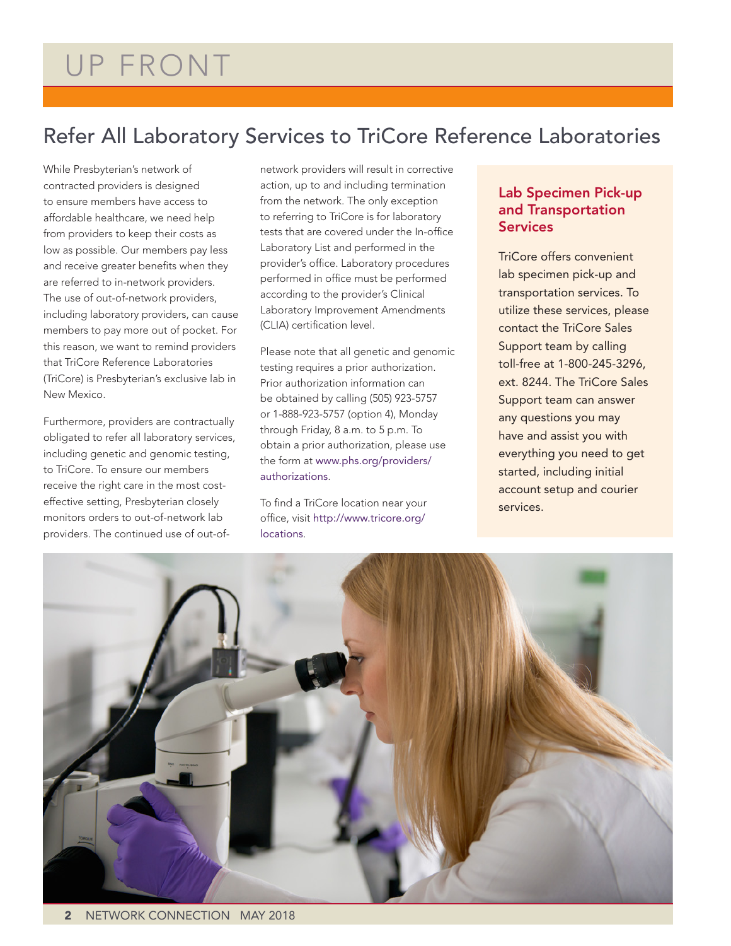# UP FRONT

## Refer All Laboratory Services to TriCore Reference Laboratories

While Presbyterian's network of contracted providers is designed to ensure members have access to affordable healthcare, we need help from providers to keep their costs as low as possible. Our members pay less and receive greater benefits when they are referred to in-network providers. The use of out-of-network providers, including laboratory providers, can cause members to pay more out of pocket. For this reason, we want to remind providers that TriCore Reference Laboratories (TriCore) is Presbyterian's exclusive lab in New Mexico.

Furthermore, providers are contractually obligated to refer all laboratory services, including genetic and genomic testing, to TriCore. To ensure our members receive the right care in the most costeffective setting, Presbyterian closely monitors orders to out-of-network lab providers. The continued use of out-of-

network providers will result in corrective action, up to and including termination from the network. The only exception to referring to TriCore is for laboratory tests that are covered under the In-office Laboratory List and performed in the provider's office. Laboratory procedures performed in office must be performed according to the provider's Clinical Laboratory Improvement Amendments (CLIA) certification level.

Please note that all genetic and genomic testing requires a prior authorization. Prior authorization information can be obtained by calling (505) 923-5757 or 1-888-923-5757 (option 4), Monday through Friday, 8 a.m. to 5 p.m. To obtain a prior authorization, please use the form at [www.phs.org/providers/](http://www.phs.org/providers/authorizations.) [authorizations](http://www.phs.org/providers/authorizations.).

To find a TriCore location near your office, visit [http://www.tricore.org/](http://www.tricore.org/locations.) [locations](http://www.tricore.org/locations.).

### Lab Specimen Pick-up and Transportation Services

TriCore offers convenient lab specimen pick-up and transportation services. To utilize these services, please contact the TriCore Sales Support team by calling toll-free at 1-800-245-3296, ext. 8244. The TriCore Sales Support team can answer any questions you may have and assist you with everything you need to get started, including initial account setup and courier services.

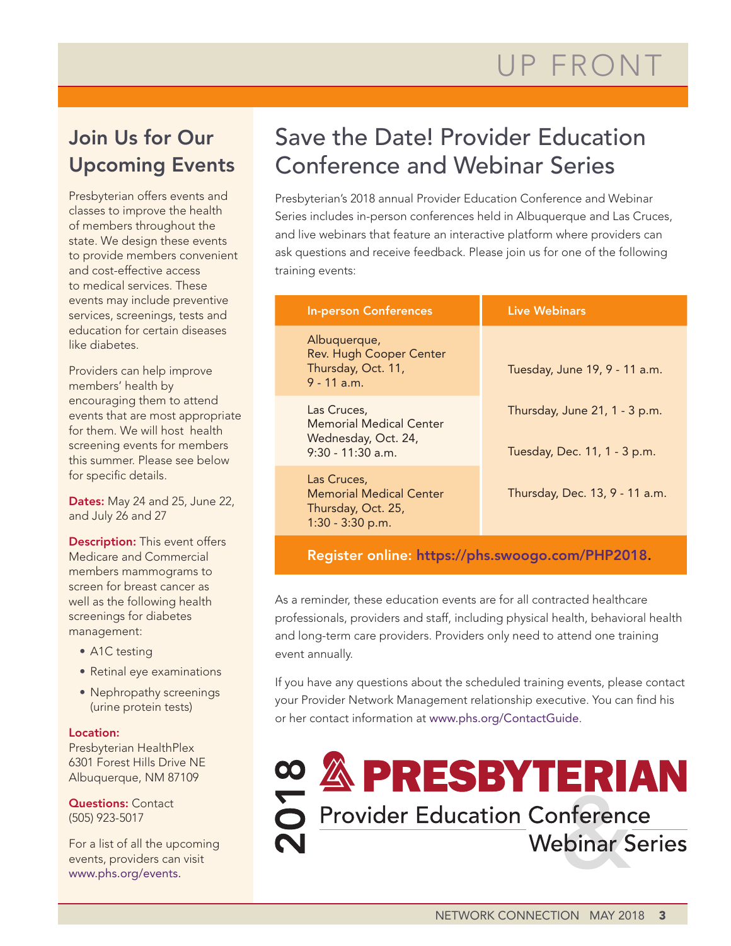## Join Us for Our Upcoming Events

Presbyterian offers events and classes to improve the health of members throughout the state. We design these events to provide members convenient and cost-effective access to medical services. These events may include preventive services, screenings, tests and education for certain diseases like diabetes.

Providers can help improve members' health by encouraging them to attend events that are most appropriate for them. We will host health screening events for members this summer. Please see below for specific details.

Dates: May 24 and 25, June 22, and July 26 and 27

**Description:** This event offers Medicare and Commercial members mammograms to screen for breast cancer as well as the following health screenings for diabetes management:

- A1C testing
- Retinal eye examinations
- Nephropathy screenings (urine protein tests)

### Location:

Presbyterian HealthPlex 6301 Forest Hills Drive NE Albuquerque, NM 87109

**Questions: Contact** (505) 923-5017

For a list of all the upcoming events, providers can visit [www.phs.org/events.](http://www.phs.org/events.)

# Save the Date! Provider Education Conference and Webinar Series

Presbyterian's 2018 annual Provider Education Conference and Webinar Series includes in-person conferences held in Albuquerque and Las Cruces, and live webinars that feature an interactive platform where providers can ask questions and receive feedback. Please join us for one of the following training events:

| <b>In-person Conferences</b>                                                          | <b>Live Webinars</b>                                          |
|---------------------------------------------------------------------------------------|---------------------------------------------------------------|
| Albuquerque,<br><b>Rev. Hugh Cooper Center</b><br>Thursday, Oct. 11,<br>$9 - 11$ a.m. | Tuesday, June 19, 9 - 11 a.m.                                 |
| Las Cruces,<br>Memorial Medical Center<br>Wednesday, Oct. 24,<br>$9:30 - 11:30$ a.m.  | Thursday, June 21, 1 - 3 p.m.<br>Tuesday, Dec. 11, 1 - 3 p.m. |
| Las Cruces,<br>Memorial Medical Center<br>Thursday, Oct. 25,<br>$1:30 - 3:30$ p.m.    | Thursday, Dec. 13, 9 - 11 a.m.                                |

Register online: <https://phs.swoogo.com/PHP2018.>

As a reminder, these education events are for all contracted healthcare professionals, providers and staff, including physical health, behavioral health and long-term care providers. Providers only need to attend one training event annually.

If you have any questions about the scheduled training events, please contact your Provider Network Management relationship executive. You can find his or her contact information at [www.phs.org/ContactGuide](http://www.phs.org/ContactGuide.).

Provider Education Conference **Webinar Series**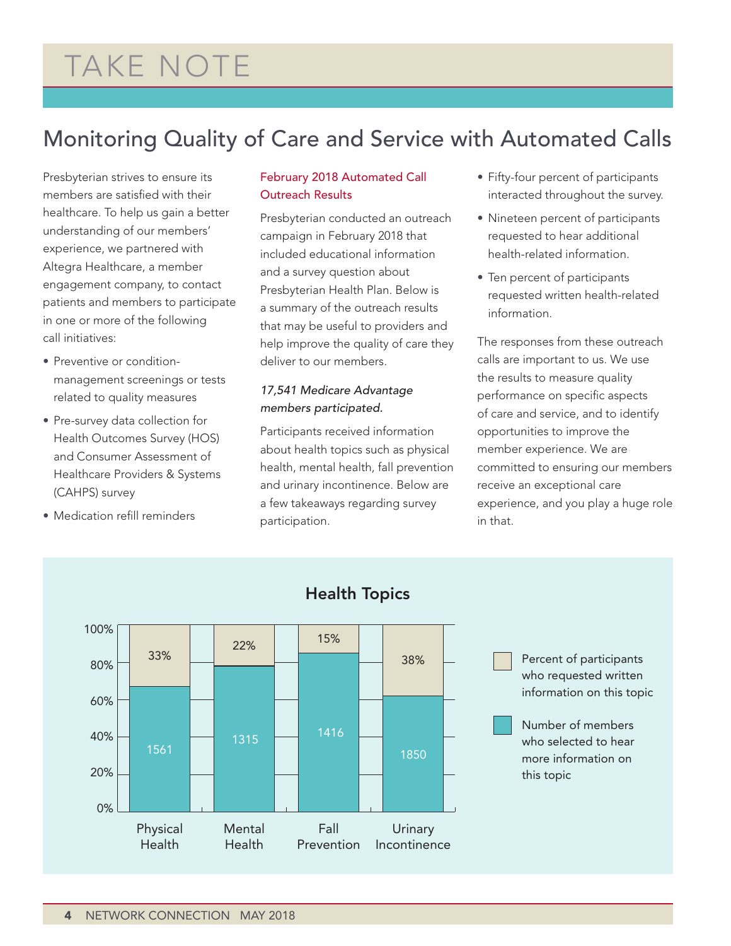# TAKE NOTE

# Monitoring Quality of Care and Service with Automated Calls

Presbyterian strives to ensure its members are satisfied with their healthcare. To help us gain a better understanding of our members' experience, we partnered with Altegra Healthcare, a member engagement company, to contact patients and members to participate in one or more of the following call initiatives:

- Preventive or conditionmanagement screenings or tests related to quality measures
- Pre-survey data collection for Health Outcomes Survey (HOS) and Consumer Assessment of Healthcare Providers & Systems (CAHPS) survey
- Medication refill reminders

### February 2018 Automated Call Outreach Results

Presbyterian conducted an outreach campaign in February 2018 that included educational information and a survey question about Presbyterian Health Plan. Below is a summary of the outreach results that may be useful to providers and help improve the quality of care they deliver to our members.

### *17,541 Medicare Advantage members participated.*

Participants received information about health topics such as physical health, mental health, fall prevention and urinary incontinence. Below are a few takeaways regarding survey participation.

- Fifty-four percent of participants interacted throughout the survey.
- Nineteen percent of participants requested to hear additional health-related information.
- Ten percent of participants requested written health-related information.

The responses from these outreach calls are important to us. We use the results to measure quality performance on specific aspects of care and service, and to identify opportunities to improve the member experience. We are committed to ensuring our members receive an exceptional care experience, and you play a huge role in that.



## Health Topics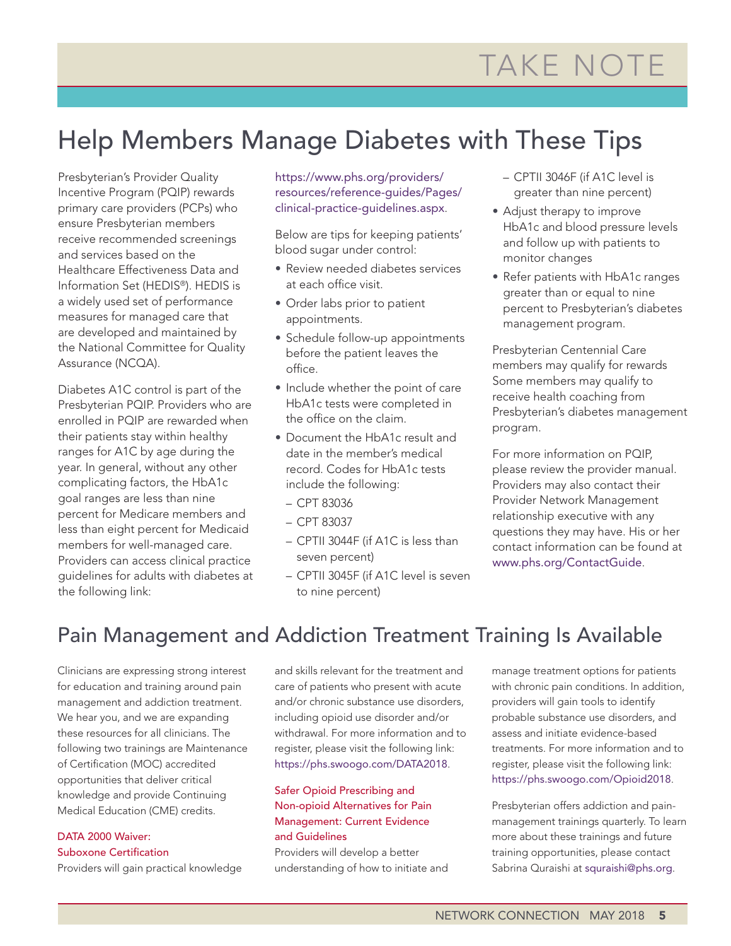# Help Members Manage Diabetes with These Tips

Presbyterian's Provider Quality Incentive Program (PQIP) rewards primary care providers (PCPs) who ensure Presbyterian members receive recommended screenings and services based on the Healthcare Effectiveness Data and Information Set (HEDIS®). HEDIS is a widely used set of performance measures for managed care that are developed and maintained by the National Committee for Quality Assurance (NCQA).

Diabetes A1C control is part of the Presbyterian PQIP. Providers who are enrolled in PQIP are rewarded when their patients stay within healthy ranges for A1C by age during the year. In general, without any other complicating factors, the HbA1c goal ranges are less than nine percent for Medicare members and less than eight percent for Medicaid members for well-managed care. Providers can access clinical practice guidelines for adults with diabetes at the following link:

[https://www.phs.org/providers/](https://www.phs.org/providers/resources/reference-guides/Pages/clinical-practice-guidelines.aspx.) [resources/reference-guides/Pages/](https://www.phs.org/providers/resources/reference-guides/Pages/clinical-practice-guidelines.aspx.) [clinical-practice-guidelines.aspx](https://www.phs.org/providers/resources/reference-guides/Pages/clinical-practice-guidelines.aspx.).

Below are tips for keeping patients' blood sugar under control:

- Review needed diabetes services at each office visit.
- Order labs prior to patient appointments.
- Schedule follow-up appointments before the patient leaves the office.
- Include whether the point of care HbA1c tests were completed in the office on the claim.
- Document the HbA1c result and date in the member's medical record. Codes for HbA1c tests include the following:
	- CPT 83036
- CPT 83037
- CPTII 3044F (if A1C is less than seven percent)
- CPTII 3045F (if A1C level is seven to nine percent)
- CPTII 3046F (if A1C level is greater than nine percent)
- Adjust therapy to improve HbA1c and blood pressure levels and follow up with patients to monitor changes
- Refer patients with HbA1c ranges greater than or equal to nine percent to Presbyterian's diabetes management program.

Presbyterian Centennial Care members may qualify for rewards Some members may qualify to receive health coaching from Presbyterian's diabetes management program.

For more information on PQIP, please review the provider manual. Providers may also contact their Provider Network Management relationship executive with any questions they may have. His or her contact information can be found at [www.phs.org/ContactGuide](http://www.phs.org/ContactGuide.).

## Pain Management and Addiction Treatment Training Is Available

Clinicians are expressing strong interest for education and training around pain management and addiction treatment. We hear you, and we are expanding these resources for all clinicians. The following two trainings are Maintenance of Certification (MOC) accredited opportunities that deliver critical knowledge and provide Continuing Medical Education (CME) credits.

#### DATA 2000 Waiver: Suboxone Certification

Providers will gain practical knowledge

and skills relevant for the treatment and care of patients who present with acute and/or chronic substance use disorders, including opioid use disorder and/or withdrawal. For more information and to register, please visit the following link: [https://phs.swoogo.com/DATA2018](https://phs.swoogo.com/DATA2018.).

### Safer Opioid Prescribing and Non-opioid Alternatives for Pain Management: Current Evidence and Guidelines

Providers will develop a better understanding of how to initiate and manage treatment options for patients with chronic pain conditions. In addition, providers will gain tools to identify probable substance use disorders, and assess and initiate evidence-based treatments. For more information and to register, please visit the following link: [https://phs.swoogo.com/Opioid2018](https://phs.swoogo.com/Opioid2018.).

Presbyterian offers addiction and painmanagement trainings quarterly. To learn more about these trainings and future training opportunities, please contact Sabrina Quraishi at [squraishi@phs.org](mailto:squraishi@phs.org).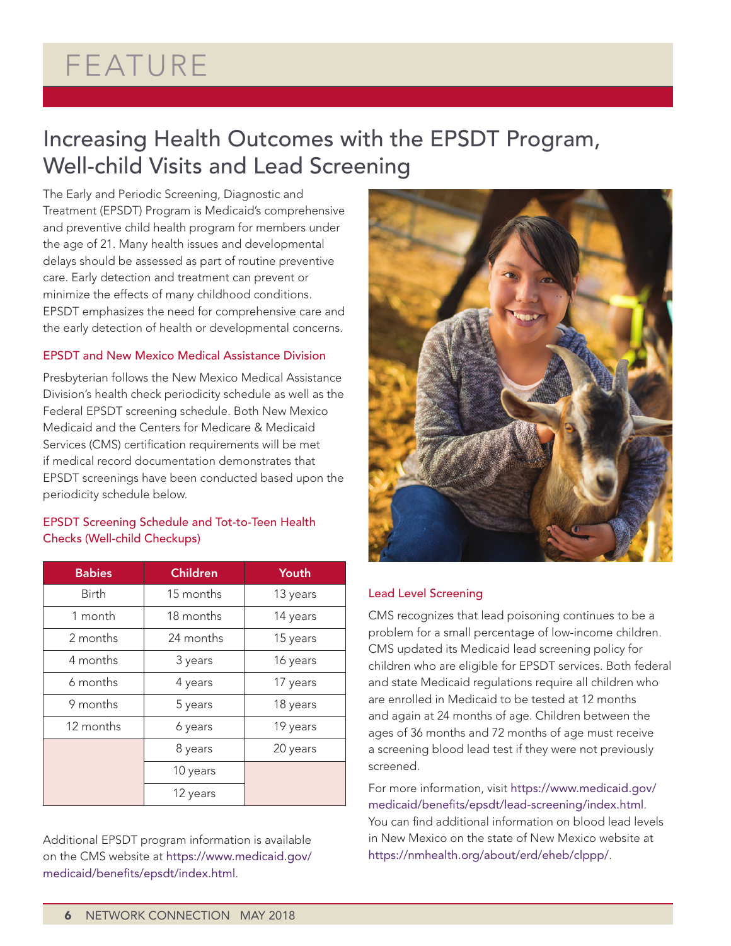# FEATURE

## Increasing Health Outcomes with the EPSDT Program, Well-child Visits and Lead Screening

The Early and Periodic Screening, Diagnostic and Treatment (EPSDT) Program is Medicaid's comprehensive and preventive child health program for members under the age of 21. Many health issues and developmental delays should be assessed as part of routine preventive care. Early detection and treatment can prevent or minimize the effects of many childhood conditions. EPSDT emphasizes the need for comprehensive care and the early detection of health or developmental concerns.

### EPSDT and New Mexico Medical Assistance Division

Presbyterian follows the New Mexico Medical Assistance Division's health check periodicity schedule as well as the Federal EPSDT screening schedule. Both New Mexico Medicaid and the Centers for Medicare & Medicaid Services (CMS) certification requirements will be met if medical record documentation demonstrates that EPSDT screenings have been conducted based upon the periodicity schedule below.

### EPSDT Screening Schedule and Tot-to-Teen Health Checks (Well-child Checkups)

| <b>Babies</b> | <b>Children</b> | Youth    |
|---------------|-----------------|----------|
| <b>Birth</b>  | 15 months       | 13 years |
| 1 month       | 18 months       | 14 years |
| 2 months      | 24 months       | 15 years |
| 4 months      | 3 years         | 16 years |
| 6 months      | 4 years         | 17 years |
| 9 months      | 5 years         | 18 years |
| 12 months     | 6 years         | 19 years |
|               | 8 years         | 20 years |
|               | 10 years        |          |
|               | 12 years        |          |

Additional EPSDT program information is available on the CMS website at [https://www.medicaid.gov/](https://www.medicaid.gov/medicaid/benefits/epsdt/index.html.) [medicaid/benefits/epsdt/index.html](https://www.medicaid.gov/medicaid/benefits/epsdt/index.html.).



### Lead Level Screening

CMS recognizes that lead poisoning continues to be a problem for a small percentage of low-income children. CMS updated its Medicaid lead screening policy for children who are eligible for EPSDT services. Both federal and state Medicaid regulations require all children who are enrolled in Medicaid to be tested at 12 months and again at 24 months of age. Children between the ages of 36 months and 72 months of age must receive a screening blood lead test if they were not previously screened.

For more information, visit [https://www.medicaid.gov/](https://www.medicaid.gov/medicaid/benefits/epsdt/lead-screening/index.html) [medicaid/benefits/epsdt/lead-screening/index.html](https://www.medicaid.gov/medicaid/benefits/epsdt/lead-screening/index.html). You can find additional information on blood lead levels in New Mexico on the state of New Mexico website at [https://nmhealth.org/about/erd/eheb/clppp/](https://nmhealth.org/about/erd/eheb/clppp/.).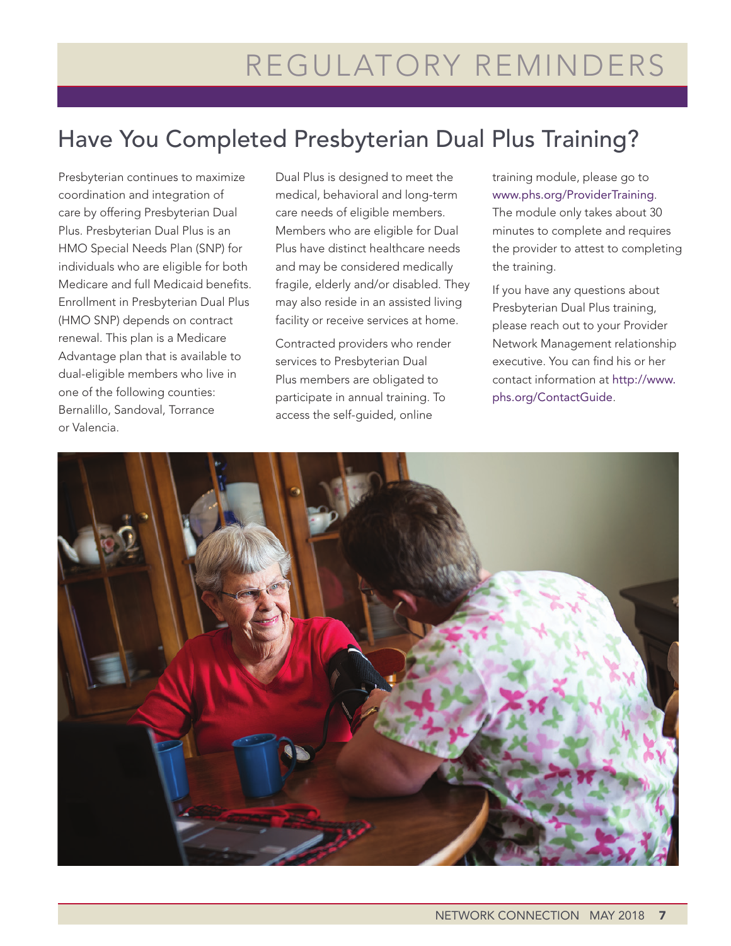# Have You Completed Presbyterian Dual Plus Training?

Presbyterian continues to maximize coordination and integration of care by offering Presbyterian Dual Plus. Presbyterian Dual Plus is an HMO Special Needs Plan (SNP) for individuals who are eligible for both Medicare and full Medicaid benefits. Enrollment in Presbyterian Dual Plus (HMO SNP) depends on contract renewal. This plan is a Medicare Advantage plan that is available to dual-eligible members who live in one of the following counties: Bernalillo, Sandoval, Torrance or Valencia.

Dual Plus is designed to meet the medical, behavioral and long-term care needs of eligible members. Members who are eligible for Dual Plus have distinct healthcare needs and may be considered medically fragile, elderly and/or disabled. They may also reside in an assisted living facility or receive services at home.

Contracted providers who render services to Presbyterian Dual Plus members are obligated to participate in annual training. To access the self-guided, online

training module, please go to [www.phs.org/ProviderTraining](http://www.phs.org/ProviderTraining.). The module only takes about 30 minutes to complete and requires the provider to attest to completing the training.

If you have any questions about Presbyterian Dual Plus training, please reach out to your Provider Network Management relationship executive. You can find his or her contact information at [http://www.](http://www.phs.org/ContactGuide.) [phs.org/ContactGuide](http://www.phs.org/ContactGuide.).